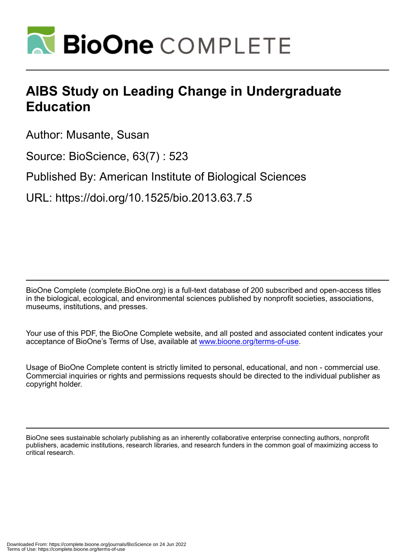

## **AIBS Study on Leading Change in Undergraduate Education**

Author: Musante, Susan

Source: BioScience, 63(7) : 523

Published By: American Institute of Biological Sciences

URL: https://doi.org/10.1525/bio.2013.63.7.5

BioOne Complete (complete.BioOne.org) is a full-text database of 200 subscribed and open-access titles in the biological, ecological, and environmental sciences published by nonprofit societies, associations, museums, institutions, and presses.

Your use of this PDF, the BioOne Complete website, and all posted and associated content indicates your acceptance of BioOne's Terms of Use, available at www.bioone.org/terms-of-use.

Usage of BioOne Complete content is strictly limited to personal, educational, and non - commercial use. Commercial inquiries or rights and permissions requests should be directed to the individual publisher as copyright holder.

BioOne sees sustainable scholarly publishing as an inherently collaborative enterprise connecting authors, nonprofit publishers, academic institutions, research libraries, and research funders in the common goal of maximizing access to critical research.